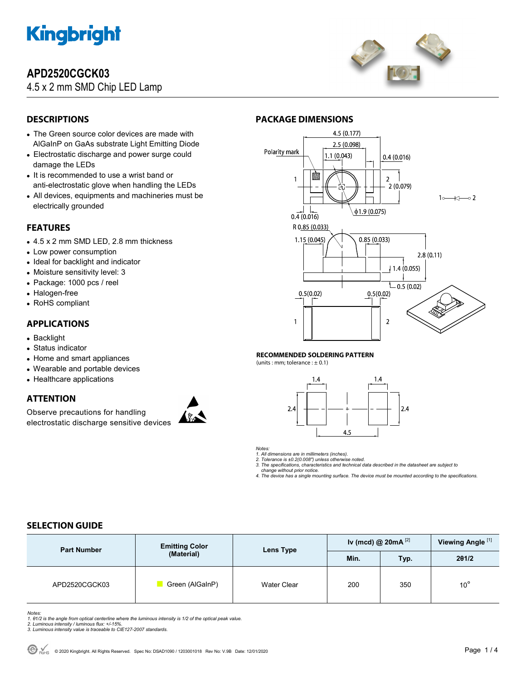

# **APD2520CGCK03**

4.5 x 2 mm SMD Chip LED Lamp



# **DESCRIPTIONS**

- The Green source color devices are made with AlGaInP on GaAs substrate Light Emitting Diode
- Electrostatic discharge and power surge could damage the LEDs
- It is recommended to use a wrist band or anti-electrostatic glove when handling the LEDs
- All devices, equipments and machineries must be electrically grounded

# **FEATURES**

- 4.5 x 2 mm SMD LED, 2.8 mm thickness
- Low power consumption
- Ideal for backlight and indicator
- Moisture sensitivity level: 3
- Package: 1000 pcs / reel
- Halogen-free
- RoHS compliant

## **APPLICATIONS**

- Backlight
- Status indicator
- Home and smart appliances
- Wearable and portable devices
- Healthcare applications

## **ATTENTION**

Observe precautions for handling electrostatic discharge sensitive devices





### **RECOMMENDED SOLDERING PATTERN**

(units : mm; tolerance :  $\pm$  0.1)



*Notes:* 

*1. All dimensions are in millimeters (inches).* 

*2. Tolerance is ±0.2(0.008") unless otherwise noted. 3. The specifications, characteristics and technical data described in the datasheet are subject to* 

 *change without prior notice.* 

*4. The device has a single mounting surface. The device must be mounted according to the specifications.* 

## **SELECTION GUIDE**

| <b>Part Number</b> | <b>Emitting Color</b><br>(Material) | Lens Type   | Iv (mcd) @ $20mA$ <sup>[2]</sup> |      | Viewing Angle <sup>[1]</sup> |
|--------------------|-------------------------------------|-------------|----------------------------------|------|------------------------------|
|                    |                                     |             | Min.                             | Typ. | 201/2                        |
| APD2520CGCK03      | Green (AlGaInP)                     | Water Clear | 200                              | 350  | $10^{\circ}$                 |

- Notes:<br>1. 81/2 is the angle from optical centerline where the luminous intensity is 1/2 of the optical peak value.<br>2. Luminous intensity / luminous flux: +/-15%.<br>3. Luminous intensity value is traceable to CIE127-2007 stan
- 
-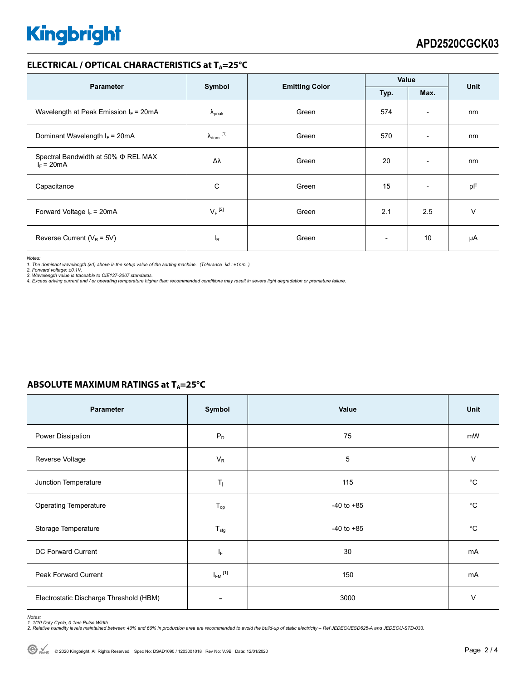# **Kingbright**

## **ELECTRICAL / OPTICAL CHARACTERISTICS at TA=25°C**

| <b>Parameter</b>                                         | Symbol                                |       | Value                    |                          | <b>Unit</b> |
|----------------------------------------------------------|---------------------------------------|-------|--------------------------|--------------------------|-------------|
|                                                          | <b>Emitting Color</b><br>Typ.<br>Max. |       |                          |                          |             |
| Wavelength at Peak Emission $I_F$ = 20mA                 | $\Lambda_{\rm peak}$                  | Green | 574                      | $\overline{\phantom{a}}$ | nm          |
| Dominant Wavelength $I_F = 20mA$                         | $\lambda_{\text{dom}}$ [1]            | Green | 570                      | $\overline{\phantom{a}}$ | nm          |
| Spectral Bandwidth at 50% $\Phi$ REL MAX<br>$I_F = 20mA$ | Δλ                                    | Green | 20                       | $\overline{\phantom{a}}$ | nm          |
| Capacitance                                              | С                                     | Green | 15                       | $\overline{\phantom{a}}$ | pF          |
| Forward Voltage $I_F$ = 20mA                             | $V_F$ <sup>[2]</sup>                  | Green | 2.1                      | 2.5                      | v           |
| Reverse Current ( $V_R$ = 5V)                            | $I_{R}$                               | Green | $\overline{\phantom{a}}$ | 10                       | μA          |

*Notes:* 

1. The dominant wavelength (λd) above is the setup value of the sorting machine. (Tolerance λd : ±1nm. )<br>2. Forward voltage: ±0.1V.<br>3. Wavelength value is traceable to CIE127-2007 standards.<br>4. Excess driving current and

# **ABSOLUTE MAXIMUM RATINGS at T<sub>A</sub>=25°C**

| <b>Parameter</b>                        | Symbol                  | Value          | Unit        |
|-----------------------------------------|-------------------------|----------------|-------------|
| Power Dissipation                       | $P_D$                   | 75             | mW          |
| Reverse Voltage                         | $V_R$                   | 5              | $\vee$      |
| Junction Temperature                    | $T_j$                   | 115            | $^{\circ}C$ |
| <b>Operating Temperature</b>            | $T_{op}$                | $-40$ to $+85$ | $^{\circ}C$ |
| Storage Temperature                     | $T_{\text{stg}}$        | $-40$ to $+85$ | $^{\circ}C$ |
| DC Forward Current                      | IF.                     | 30             | <b>mA</b>   |
| <b>Peak Forward Current</b>             | $I_{FM}$ <sup>[1]</sup> | 150            | mA          |
| Electrostatic Discharge Threshold (HBM) |                         | 3000           | $\vee$      |

Notes:<br>1. 1/10 Duty Cycle, 0.1ms Pulse Width.<br>2. Relative humidity levels maintained between 40% and 60% in production area are recommended to avoid the build-up of static electricity – Ref JEDEC/JESD625-A and JEDEC/J-STD-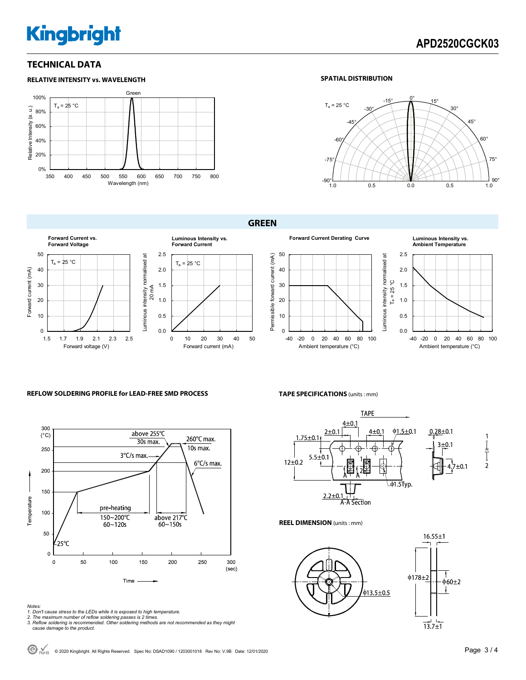# **Kingbright**

## **TECHNICAL DATA**



### **SPATIAL DISTRIBUTION**



### **GREEN**









#### **REFLOW SOLDERING PROFILE for LEAD-FREE SMD PROCESS**



- *Notes: 1. Don't cause stress to the LEDs while it is exposed to high temperature. 2. The maximum number of reflow soldering passes is 2 times.*
- 
- *3. Reflow soldering is recommended. Other soldering methods are not recommended as they might cause damage to the product.*

#### **TAPE SPECIFICATIONS** (units : mm)

Ambient temperature (°C)



**REEL DIMENSION** (units : mm)